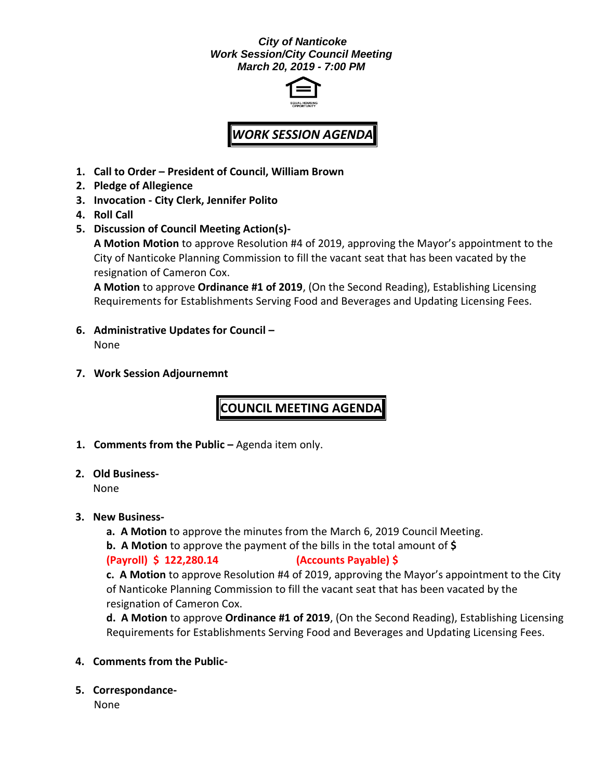## *City of Nanticoke Work Session/City Council Meeting March 20, 2019 - 7:00 PM*



## *WORK SESSION AGENDA*

- **1. Call to Order – President of Council, William Brown**
- **2. Pledge of Allegience**
- **3. Invocation - City Clerk, Jennifer Polito**
- **4. Roll Call**
- **5. Discussion of Council Meeting Action(s)-**

**A Motion Motion** to approve Resolution #4 of 2019, approving the Mayor's appointment to the City of Nanticoke Planning Commission to fill the vacant seat that has been vacated by the resignation of Cameron Cox.

**A Motion** to approve **Ordinance #1 of 2019**, (On the Second Reading), Establishing Licensing Requirements for Establishments Serving Food and Beverages and Updating Licensing Fees.

- **6. Administrative Updates for Council –** None
- **7. Work Session Adjournemnt**

**COUNCIL MEETING AGENDA**

- **1. Comments from the Public –** Agenda item only.
- **2. Old Business-**

None

- **3. New Business**
	- **a. A Motion** to approve the minutes from the March 6, 2019 Council Meeting.
	- **b. A Motion** to approve the payment of the bills in the total amount of **\$**

## **(Payroll) \$ 122,280.14 (Accounts Payable) \$**

**c. A Motion** to approve Resolution #4 of 2019, approving the Mayor's appointment to the City of Nanticoke Planning Commission to fill the vacant seat that has been vacated by the resignation of Cameron Cox.

**d. A Motion** to approve **Ordinance #1 of 2019**, (On the Second Reading), Establishing Licensing Requirements for Establishments Serving Food and Beverages and Updating Licensing Fees.

- **4. Comments from the Public-**
- **5. Correspondance-**

None